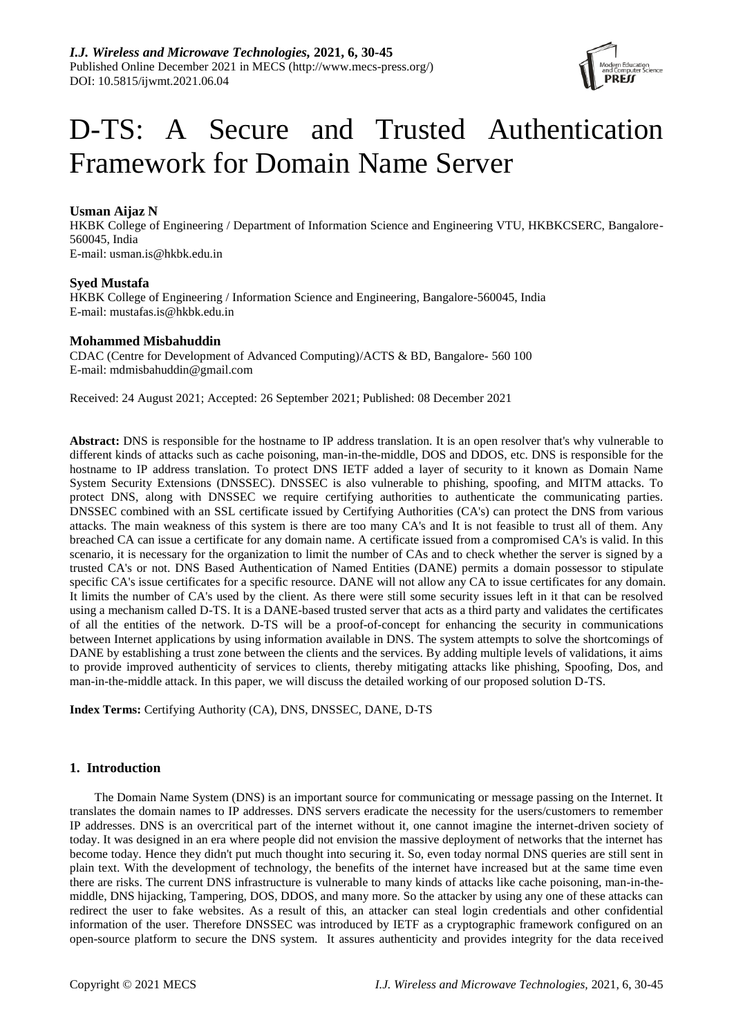

# D-TS: A Secure and Trusted Authentication Framework for Domain Name Server

# **Usman Aijaz N**

HKBK College of Engineering / Department of Information Science and Engineering VTU, HKBKCSERC, Bangalore-560045, India E-mail: usman.is@hkbk.edu.in

# **Syed Mustafa**

HKBK College of Engineering / Information Science and Engineering, Bangalore-560045, India E-mail: [mustafas.is@hkbk.edu.in](mailto:mustafas.is@hkbk.edu.in)

# **Mohammed Misbahuddin**

CDAC (Centre for Development of Advanced Computing)/ACTS & BD, Bangalore- 560 100 E-mail: mdmisbahuddin@gmail.com

Received: 24 August 2021; Accepted: 26 September 2021; Published: 08 December 2021

**Abstract:** DNS is responsible for the hostname to IP address translation. It is an open resolver that's why vulnerable to different kinds of attacks such as cache poisoning, man-in-the-middle, DOS and DDOS, etc. DNS is responsible for the hostname to IP address translation. To protect DNS IETF added a layer of security to it known as Domain Name System Security Extensions (DNSSEC). DNSSEC is also vulnerable to phishing, spoofing, and MITM attacks. To protect DNS, along with DNSSEC we require certifying authorities to authenticate the communicating parties. DNSSEC combined with an SSL certificate issued by Certifying Authorities (CA's) can protect the DNS from various attacks. The main weakness of this system is there are too many CA's and It is not feasible to trust all of them. Any breached CA can issue a certificate for any domain name. A certificate issued from a compromised CA's is valid. In this scenario, it is necessary for the organization to limit the number of CAs and to check whether the server is signed by a trusted CA's or not. DNS Based Authentication of Named Entities (DANE) permits a domain possessor to stipulate specific CA's issue certificates for a specific resource. DANE will not allow any CA to issue certificates for any domain. It limits the number of CA's used by the client. As there were still some security issues left in it that can be resolved using a mechanism called D-TS. It is a DANE-based trusted server that acts as a third party and validates the certificates of all the entities of the network. D-TS will be a proof-of-concept for enhancing the security in communications between Internet applications by using information available in DNS. The system attempts to solve the shortcomings of DANE by establishing a trust zone between the clients and the services. By adding multiple levels of validations, it aims to provide improved authenticity of services to clients, thereby mitigating attacks like phishing, Spoofing, Dos, and man-in-the-middle attack. In this paper, we will discuss the detailed working of our proposed solution D-TS.

**Index Terms:** Certifying Authority (CA), DNS, DNSSEC, DANE, D-TS

# **1. Introduction**

The Domain Name System (DNS) is an important source for communicating or message passing on the Internet. It translates the domain names to IP addresses. DNS servers eradicate the necessity for the users/customers to remember IP addresses. DNS is an overcritical part of the internet without it, one cannot imagine the internet-driven society of today. It was designed in an era where people did not envision the massive deployment of networks that the internet has become today. Hence they didn't put much thought into securing it. So, even today normal DNS queries are still sent in plain text. With the development of technology, the benefits of the internet have increased but at the same time even there are risks. The current DNS infrastructure is vulnerable to many kinds of attacks like cache poisoning, man-in-themiddle, DNS hijacking, Tampering, DOS, DDOS, and many more. So the attacker by using any one of these attacks can redirect the user to fake websites. As a result of this, an attacker can steal login credentials and other confidential information of the user. Therefore DNSSEC was introduced by IETF as a cryptographic framework configured on an open-source platform to secure the DNS system. It assures authenticity and provides integrity for the data received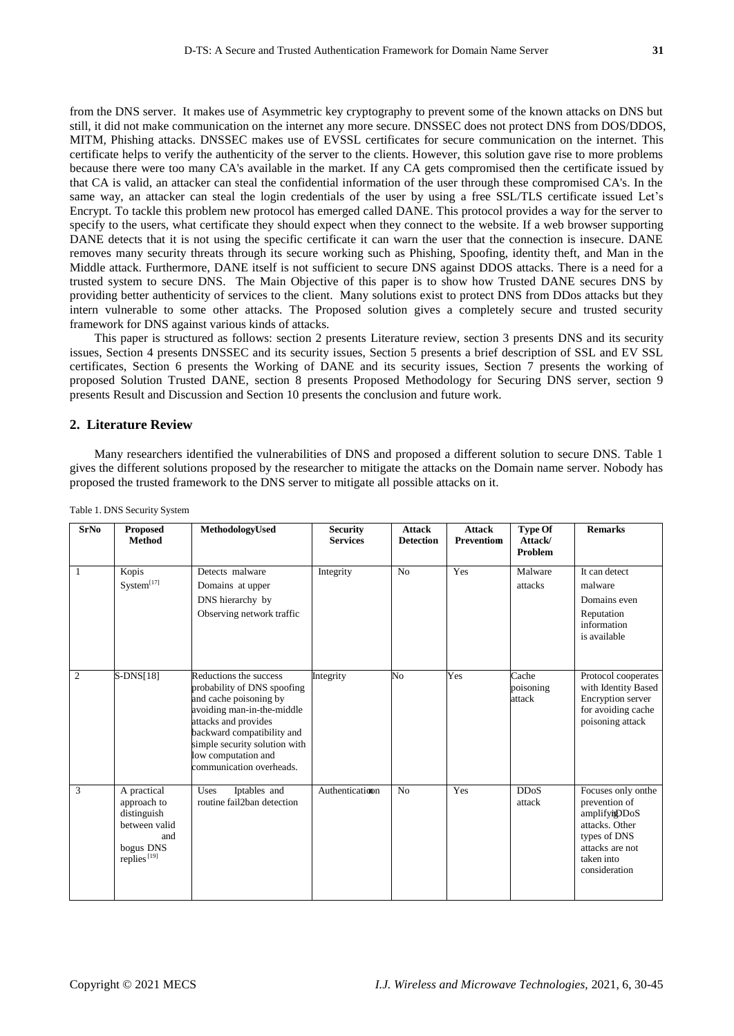from the DNS server. It makes use of Asymmetric key cryptography to prevent some of the known attacks on DNS but still, it did not make communication on the internet any more secure. DNSSEC does not protect DNS from DOS/DDOS, MITM, Phishing attacks. DNSSEC makes use of EVSSL certificates for secure communication on the internet. This certificate helps to verify the authenticity of the server to the clients. However, this solution gave rise to more problems because there were too many CA's available in the market. If any CA gets compromised then the certificate issued by that CA is valid, an attacker can steal the confidential information of the user through these compromised CA's. In the same way, an attacker can steal the login credentials of the user by using a free SSL/TLS certificate issued Let's Encrypt. To tackle this problem new protocol has emerged called DANE. This protocol provides a way for the server to specify to the users, what certificate they should expect when they connect to the website. If a web browser supporting DANE detects that it is not using the specific certificate it can warn the user that the connection is insecure. DANE removes many security threats through its secure working such as Phishing, Spoofing, identity theft, and Man in the Middle attack. Furthermore, DANE itself is not sufficient to secure DNS against DDOS attacks. There is a need for a trusted system to secure DNS. The Main Objective of this paper is to show how Trusted DANE secures DNS by providing better authenticity of services to the client. Many solutions exist to protect DNS from DDos attacks but they intern vulnerable to some other attacks. The Proposed solution gives a completely secure and trusted security framework for DNS against various kinds of attacks.

This paper is structured as follows: section 2 presents Literature review, section 3 presents DNS and its security issues, Section 4 presents DNSSEC and its security issues, Section 5 presents a brief description of SSL and EV SSL certificates, Section 6 presents the Working of DANE and its security issues, Section 7 presents the working of proposed Solution Trusted DANE, section 8 presents Proposed Methodology for Securing DNS server, section 9 presents Result and Discussion and Section 10 presents the conclusion and future work.

## **2. Literature Review**

Many researchers identified the vulnerabilities of DNS and proposed a different solution to secure DNS. Table 1 gives the different solutions proposed by the researcher to mitigate the attacks on the Domain name server. Nobody has proposed the trusted framework to the DNS server to mitigate all possible attacks on it.

| <b>SrNo</b>    | <b>Proposed</b><br><b>Method</b>                                                                          | MethodologyUsed                                                                                                                                                                                                                                         | <b>Security</b><br><b>Services</b> | <b>Attack</b><br><b>Detection</b> | <b>Attack</b><br>Preventiom | <b>Type Of</b><br>Attack/<br>Problem | <b>Remarks</b>                                                                                                                           |
|----------------|-----------------------------------------------------------------------------------------------------------|---------------------------------------------------------------------------------------------------------------------------------------------------------------------------------------------------------------------------------------------------------|------------------------------------|-----------------------------------|-----------------------------|--------------------------------------|------------------------------------------------------------------------------------------------------------------------------------------|
| -1             | Kopis<br>System <sup>[17]</sup>                                                                           | Detects malware<br>Domains at upper<br>DNS hierarchy by<br>Observing network traffic                                                                                                                                                                    | Integrity                          | No                                | Yes                         | Malware<br>attacks                   | It can detect<br>malware<br>Domains even<br>Reputation<br>information<br>is available                                                    |
| $\overline{c}$ | $S-DNS[18]$                                                                                               | Reductions the success<br>probability of DNS spoofing<br>and cache poisoning by<br>avoiding man-in-the-middle<br>attacks and provides<br>backward compatibility and<br>simple security solution with<br>low computation and<br>communication overheads. | Integrity                          | No.                               | Yes                         | Cache<br>poisoning<br>attack         | Protocol cooperates<br>with Identity Based<br>Encryption server<br>for avoiding cache<br>poisoning attack                                |
| 3              | A practical<br>approach to<br>distinguish<br>between valid<br>and<br>bogus DNS<br>replies <sup>[19]</sup> | Iptables and<br>Uses<br>routine fail2ban detection                                                                                                                                                                                                      | Authentication                     | N <sub>0</sub>                    | Yes                         | <b>DDoS</b><br>attack                | Focuses only onthe<br>prevention of<br>amplifyigDDoS<br>attacks. Other<br>types of DNS<br>attacks are not<br>taken into<br>consideration |

Table 1. DNS Security System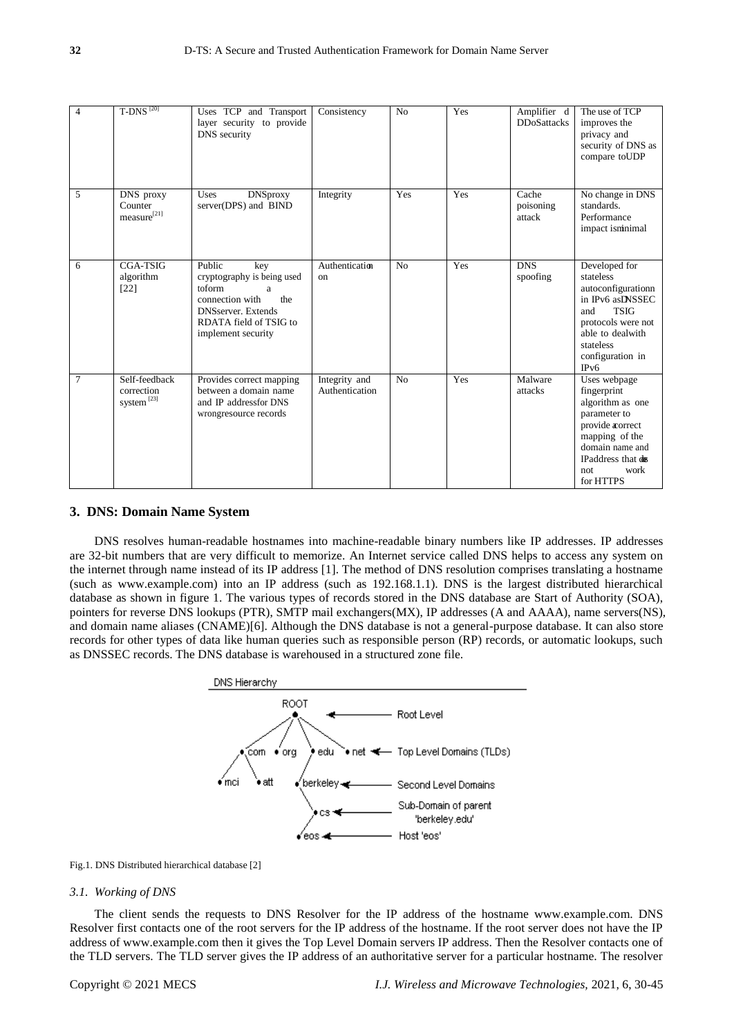| $\overline{4}$ | T-DNS $^{[20]}$                                       | Uses TCP and Transport<br>layer security to provide<br>DNS security                                                                                                | Consistency                     | N <sub>o</sub> | Yes | Amplifier d<br><b>DDoSattacks</b> | The use of TCP<br>improves the<br>privacy and<br>security of DNS as<br>compare toUDP                                                                                              |
|----------------|-------------------------------------------------------|--------------------------------------------------------------------------------------------------------------------------------------------------------------------|---------------------------------|----------------|-----|-----------------------------------|-----------------------------------------------------------------------------------------------------------------------------------------------------------------------------------|
| 5              | DNS proxy<br>Counter<br>measure <sup>[21]</sup>       | <b>DNSproxy</b><br>Uses<br>server(DPS) and BIND                                                                                                                    | Integrity                       | Yes            | Yes | Cache<br>poisoning<br>attack      | No change in DNS<br>standards.<br>Performance<br>impact isminimal                                                                                                                 |
| 6              | <b>CGA-TSIG</b><br>algorithm<br>$[22]$                | Public<br>key<br>cryptography is being used<br>toform<br>a<br>connection with<br>the<br><b>DNSserver</b> . Extends<br>RDATA field of TSIG to<br>implement security | Authentication<br>on            | No             | Yes | <b>DNS</b><br>spoofing            | Developed for<br>stateless<br>autoconfigurationn<br>in IPv6 asDNSSEC<br><b>TSIG</b><br>and<br>protocols were not<br>able to dealwith<br>stateless<br>configuration in<br>IPv6     |
| $\tau$         | Self-feedback<br>correction<br>system <sup>[23]</sup> | Provides correct mapping<br>between a domain name<br>and IP addressfor DNS<br>wrongresource records                                                                | Integrity and<br>Authentication | N <sub>o</sub> | Yes | Malware<br>attacks                | Uses webpage<br>fingerprint<br>algorithm as one<br>parameter to<br>provide <i>a</i> correct<br>mapping of the<br>domain name and<br>IPaddress that do<br>work<br>not<br>for HTTPS |

#### **3. DNS: Domain Name System**

DNS resolves human-readable hostnames into machine-readable binary numbers like IP addresses. IP addresses are 32-bit numbers that are very difficult to memorize. An Internet service called DNS helps to access any system on the internet through name instead of its IP address [1]. The method of DNS resolution comprises translating a hostname (such as www.example.com) into an IP address (such as 192.168.1.1). DNS is the largest distributed hierarchical database as shown in figure 1. The various types of records stored in the DNS database are Start of Authority (SOA), pointers for reverse DNS lookups (PTR), SMTP mail exchangers(MX), IP addresses (A and AAAA), name servers(NS), and domain name aliases (CNAME)[6]. Although the DNS database is not a general-purpose database. It can also store records for other types of data like human queries such as responsible person (RP) records, or automatic lookups, such as DNSSEC records. The DNS database is warehoused in a structured zone file.



Fig.1. DNS Distributed hierarchical database [2]

#### *3.1. Working of DNS*

The client sends the requests to DNS Resolver for the IP address of the hostname www.example.com. DNS Resolver first contacts one of the root servers for the IP address of the hostname. If the root server does not have the IP address of www.example.com then it gives the Top Level Domain servers IP address. Then the Resolver contacts one of the TLD servers. The TLD server gives the IP address of an authoritative server for a particular hostname. The resolver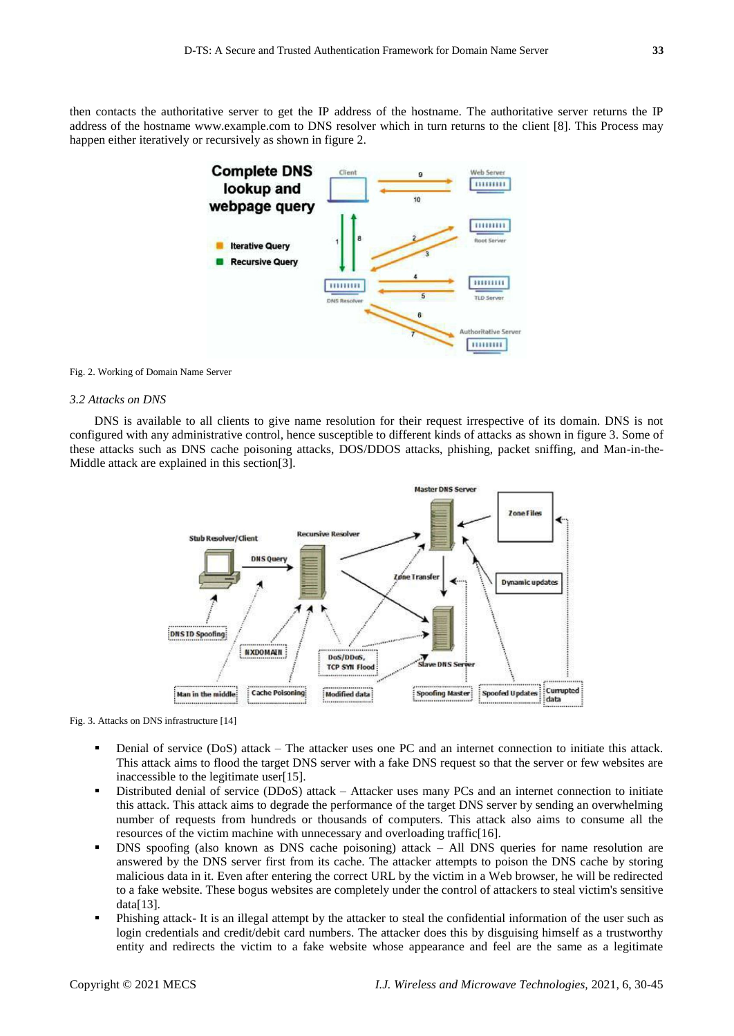then contacts the authoritative server to get the IP address of the hostname. The authoritative server returns the IP address of the hostname www.example.com to DNS resolver which in turn returns to the client [8]. This Process may happen either iteratively or recursively as shown in figure 2.



#### Fig. 2. Working of Domain Name Server

## *3.2 Attacks on DNS*

DNS is available to all clients to give name resolution for their request irrespective of its domain. DNS is not configured with any administrative control, hence susceptible to different kinds of attacks as shown in figure 3. Some of these attacks such as DNS cache poisoning attacks, DOS/DDOS attacks, phishing, packet sniffing, and Man-in-the-Middle attack are explained in this section[3].



Fig. 3. Attacks on DNS infrastructure [14]

- Denial of service (DoS) attack The attacker uses one PC and an internet connection to initiate this attack. This attack aims to flood the target DNS server with a fake DNS request so that the server or few websites are inaccessible to the legitimate user[15].
- Distributed denial of service (DDoS) attack Attacker uses many PCs and an internet connection to initiate this attack. This attack aims to degrade the performance of the target DNS server by sending an overwhelming number of requests from hundreds or thousands of computers. This attack also aims to consume all the resources of the victim machine with unnecessary and overloading traffic[16].
- DNS spoofing (also known as DNS cache poisoning) attack All DNS queries for name resolution are answered by the DNS server first from its cache. The attacker attempts to poison the DNS cache by storing malicious data in it. Even after entering the correct URL by the victim in a Web browser, he will be redirected to a fake website. These bogus websites are completely under the control of attackers to steal victim's sensitive data[13].
- Phishing attack- It is an illegal attempt by the attacker to steal the confidential information of the user such as login credentials and credit/debit card numbers. The attacker does this by disguising himself as a trustworthy entity and redirects the victim to a fake website whose appearance and feel are the same as a legitimate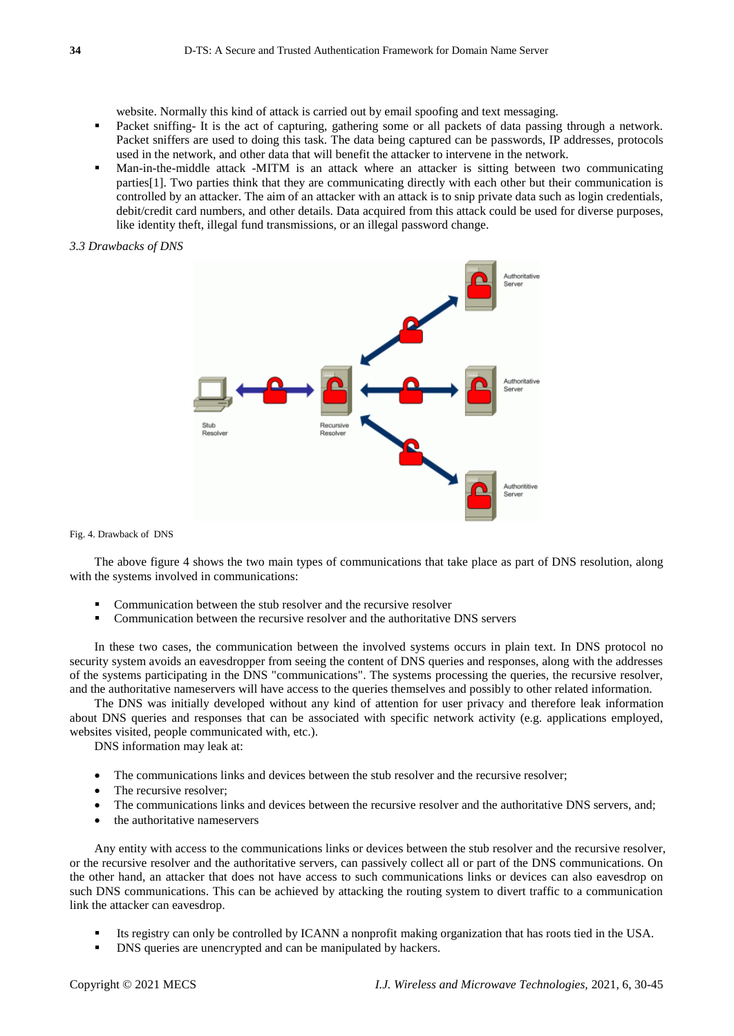website. Normally this kind of attack is carried out by email spoofing and text messaging.

- Packet sniffing- It is the act of capturing, gathering some or all packets of data passing through a network. Packet sniffers are used to doing this task. The data being captured can be passwords, IP addresses, protocols used in the network, and other data that will benefit the attacker to intervene in the network.
- Man-in-the-middle attack -MITM is an attack where an attacker is sitting between two communicating parties[1]. Two parties think that they are communicating directly with each other but their communication is controlled by an attacker. The aim of an attacker with an attack is to snip private data such as login credentials, debit/credit card numbers, and other details. Data acquired from this attack could be used for diverse purposes, like identity theft, illegal fund transmissions, or an illegal password change.

## *3.3 Drawbacks of DNS*



Fig. 4. Drawback of DNS

The above figure 4 shows the two main types of communications that take place as part of DNS resolution, along with the systems involved in communications:

- Communication between the stub resolver and the recursive resolver
- Communication between the recursive resolver and the authoritative DNS servers

In these two cases, the communication between the involved systems occurs in plain text. In DNS protocol no security system avoids an eavesdropper from seeing the content of DNS queries and responses, along with the addresses of the systems participating in the DNS "communications". The systems processing the queries, the recursive resolver, and the authoritative nameservers will have access to the queries themselves and possibly to other related information.

The DNS was initially developed without any kind of attention for user privacy and therefore leak information about DNS queries and responses that can be associated with specific network activity (e.g. applications employed, websites visited, people communicated with, etc.).

DNS information may leak at:

- The communications links and devices between the stub resolver and the recursive resolver;
- The recursive resolver;
- The communications links and devices between the recursive resolver and the authoritative DNS servers, and;
- the authoritative nameservers

Any entity with access to the communications links or devices between the stub resolver and the recursive resolver, or the recursive resolver and the authoritative servers, can passively collect all or part of the DNS communications. On the other hand, an attacker that does not have access to such communications links or devices can also eavesdrop on such DNS communications. This can be achieved by attacking the routing system to divert traffic to a communication link the attacker can eavesdrop.

- Its registry can only be controlled by ICANN a nonprofit making organization that has roots tied in the USA.
- DNS queries are unencrypted and can be manipulated by hackers.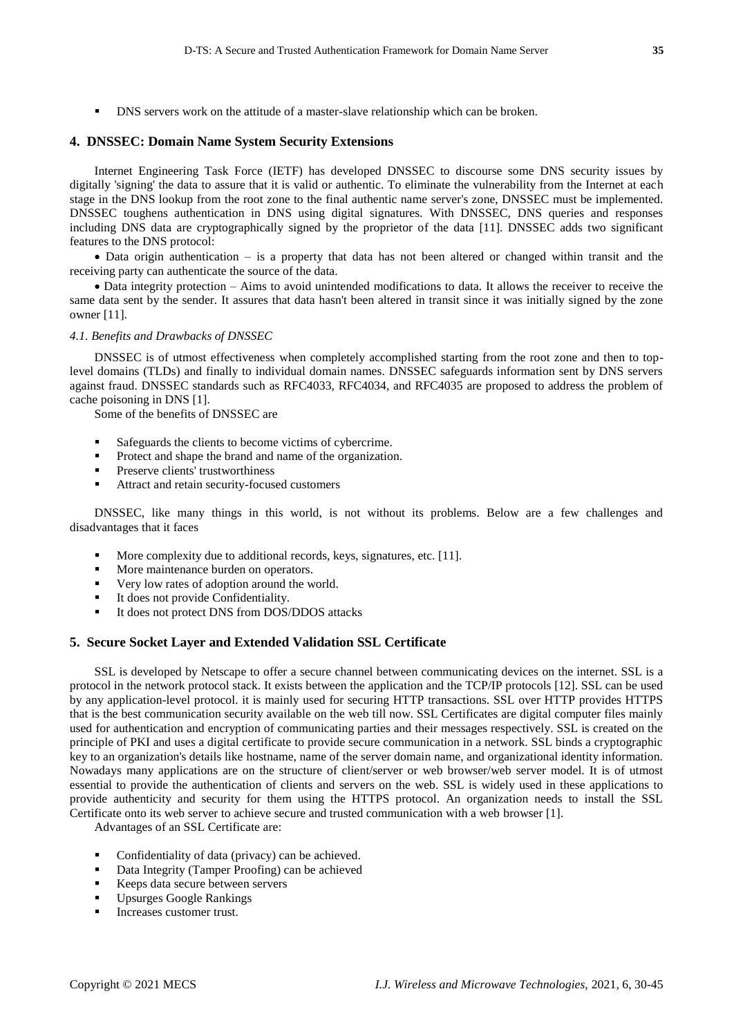DNS servers work on the attitude of a master-slave relationship which can be broken.

## **4. DNSSEC: Domain Name System Security Extensions**

Internet Engineering Task Force (IETF) has developed DNSSEC to discourse some DNS security issues by digitally 'signing' the data to assure that it is valid or authentic. To eliminate the vulnerability from the Internet at each stage in the DNS lookup from the root zone to the final authentic name server's zone, DNSSEC must be implemented. DNSSEC toughens authentication in DNS using digital signatures. With DNSSEC, DNS queries and responses including DNS data are cryptographically signed by the proprietor of the data [11]. DNSSEC adds two significant features to the DNS protocol:

 Data origin authentication – is a property that data has not been altered or changed within transit and the receiving party can authenticate the source of the data.

 Data integrity protection – Aims to avoid unintended modifications to data. It allows the receiver to receive the same data sent by the sender. It assures that data hasn't been altered in transit since it was initially signed by the zone owner [11].

## *4.1. Benefits and Drawbacks of DNSSEC*

DNSSEC is of utmost effectiveness when completely accomplished starting from the root zone and then to toplevel domains (TLDs) and finally to individual domain names. DNSSEC safeguards information sent by DNS servers against fraud. DNSSEC standards such as RFC4033, RFC4034, and RFC4035 are proposed to address the problem of cache poisoning in DNS [1].

Some of the benefits of DNSSEC are

- Safeguards the clients to become victims of cybercrime.
- Protect and shape the brand and name of the organization.
- Preserve clients' trustworthiness
- Attract and retain security-focused customers

DNSSEC, like many things in this world, is not without its problems. Below are a few challenges and disadvantages that it faces

- More complexity due to additional records, keys, signatures, etc. [11].
- More maintenance burden on operators.
- Very low rates of adoption around the world.
- It does not provide Confidentiality.
- It does not protect DNS from DOS/DDOS attacks

## **5. Secure Socket Layer and Extended Validation SSL Certificate**

SSL is developed by Netscape to offer a secure channel between communicating devices on the internet. SSL is a protocol in the network protocol stack. It exists between the application and the TCP/IP protocols [12]. SSL can be used by any application-level protocol. it is mainly used for securing HTTP transactions. SSL over HTTP provides HTTPS that is the best communication security available on the web till now. SSL Certificates are digital computer files mainly used for authentication and encryption of communicating parties and their messages respectively. SSL is created on the principle of PKI and uses a digital certificate to provide secure communication in a network. SSL binds a cryptographic key to an organization's details like hostname, name of the server domain name, and organizational identity information. Nowadays many applications are on the structure of client/server or web browser/web server model. It is of utmost essential to provide the authentication of clients and servers on the web. SSL is widely used in these applications to provide authenticity and security for them using the HTTPS protocol. An organization needs to install the SSL Certificate onto its web server to achieve secure and trusted communication with a web browser [1].

Advantages of an SSL Certificate are:

- Confidentiality of data (privacy) can be achieved.
- Data Integrity (Tamper Proofing) can be achieved
- Keeps data secure between servers
- Upsurges Google Rankings
- Increases customer trust.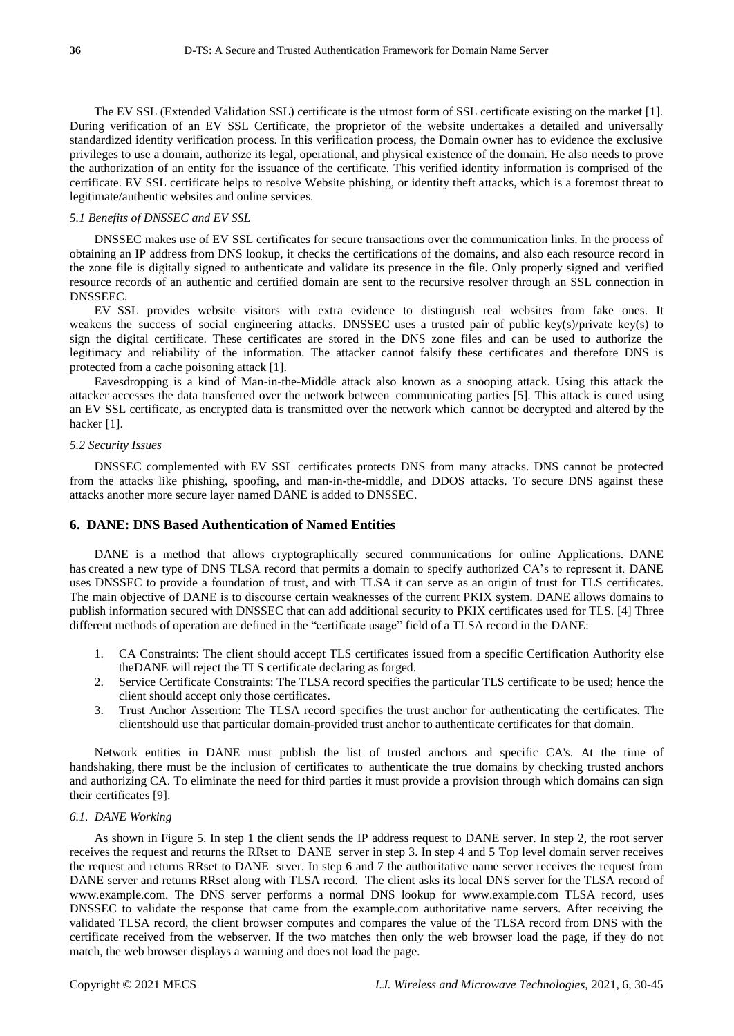The EV SSL (Extended Validation SSL) certificate is the utmost form of SSL certificate existing on the market [1]. During verification of an EV SSL Certificate, the proprietor of the website undertakes a detailed and universally standardized identity verification process. In this verification process, the Domain owner has to evidence the exclusive privileges to use a domain, authorize its legal, operational, and physical existence of the domain. He also needs to prove the authorization of an entity for the issuance of the certificate. This verified identity information is comprised of the certificate. EV SSL certificate helps to resolve Website phishing, or identity theft attacks, which is a foremost threat to legitimate/authentic websites and online services.

## *5.1 Benefits of DNSSEC and EV SSL*

DNSSEC makes use of EV SSL certificates for secure transactions over the communication links. In the process of obtaining an IP address from DNS lookup, it checks the certifications of the domains, and also each resource record in the zone file is digitally signed to authenticate and validate its presence in the file. Only properly signed and verified resource records of an authentic and certified domain are sent to the recursive resolver through an SSL connection in DNSSEEC.

EV SSL provides website visitors with extra evidence to distinguish real websites from fake ones. It weakens the success of social engineering attacks. DNSSEC uses a trusted pair of public key(s)/private key(s) to sign the digital certificate. These certificates are stored in the DNS zone files and can be used to authorize the legitimacy and reliability of the information. The attacker cannot falsify these certificates and therefore DNS is protected from a cache poisoning attack [1].

Eavesdropping is a kind of Man-in-the-Middle attack also known as a snooping attack. Using this attack the attacker accesses the data transferred over the network between communicating parties [5]. This attack is cured using an EV SSL certificate, as encrypted data is transmitted over the network which cannot be decrypted and altered by the hacker [1].

#### *5.2 Security Issues*

DNSSEC complemented with EV SSL certificates protects DNS from many attacks. DNS cannot be protected from the attacks like phishing, spoofing, and man-in-the-middle, and DDOS attacks. To secure DNS against these attacks another more secure layer named DANE is added to DNSSEC.

# **6. DANE: DNS Based Authentication of Named Entities**

DANE is a method that allows cryptographically secured communications for online Applications. DANE has created a new type of DNS TLSA record that permits a domain to specify authorized CA's to represent it. DANE uses DNSSEC to provide a foundation of trust, and with TLSA it can serve as an origin of trust for TLS certificates. The main objective of DANE is to discourse certain weaknesses of the current PKIX system. DANE allows domains to publish information secured with DNSSEC that can add additional security to PKIX certificates used for TLS. [4] Three different methods of operation are defined in the "certificate usage" field of a TLSA record in the DANE:

- 1. CA Constraints: The client should accept TLS certificates issued from a specific Certification Authority else theDANE will reject the TLS certificate declaring as forged.
- 2. Service Certificate Constraints: The TLSA record specifies the particular TLS certificate to be used; hence the client should accept only those certificates.
- 3. Trust Anchor Assertion: The TLSA record specifies the trust anchor for authenticating the certificates. The clientshould use that particular domain-provided trust anchor to authenticate certificates for that domain.

Network entities in DANE must publish the list of trusted anchors and specific CA's. At the time of handshaking, there must be the inclusion of certificates to authenticate the true domains by checking trusted anchors and authorizing CA. To eliminate the need for third parties it must provide a provision through which domains can sign their certificates [9].

## *6.1. DANE Working*

As shown in Figure 5. In step 1 the client sends the IP address request to DANE server. In step 2, the root server receives the request and returns the RRset to DANE server in step 3. In step 4 and 5 Top level domain server receives the request and returns RRset to DANE srver. In step 6 and 7 the authoritative name server receives the request from DANE server and returns RRset along with TLSA record. The client asks its local DNS server for the TLSA record of [www.example.com.](http://www.example.com/) The DNS server performs a normal DNS lookup for [www.example.com](http://www.example.com/) TLSA record, uses DNSSEC to validate the response that came from the example.com authoritative name servers. After receiving the validated TLSA record, the client browser computes and compares the value of the TLSA record from DNS with the certificate received from the webserver. If the two matches then only the web browser load the page, if they do not match, the web browser displays a warning and does not load the page.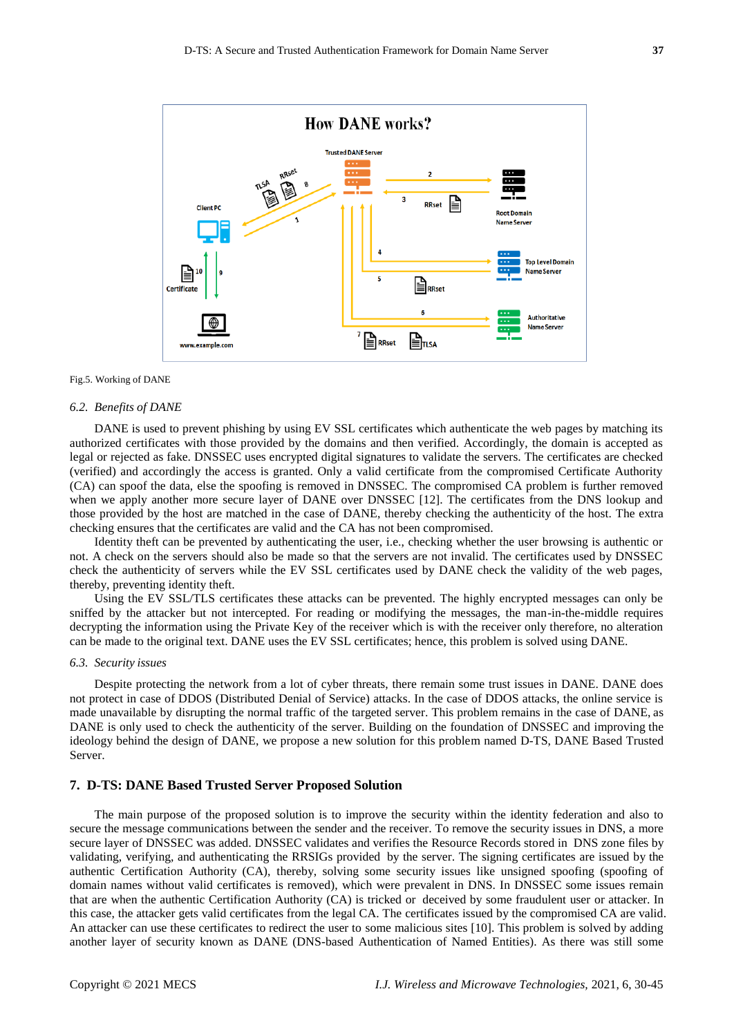

#### Fig.5. Working of DANE

#### *6.2. Benefits of DANE*

DANE is used to prevent phishing by using EV SSL certificates which authenticate the web pages by matching its authorized certificates with those provided by the domains and then verified. Accordingly, the domain is accepted as legal or rejected as fake. DNSSEC uses encrypted digital signatures to validate the servers. The certificates are checked (verified) and accordingly the access is granted. Only a valid certificate from the compromised Certificate Authority (CA) can spoof the data, else the spoofing is removed in DNSSEC. The compromised CA problem is further removed when we apply another more secure layer of DANE over DNSSEC [12]. The certificates from the DNS lookup and those provided by the host are matched in the case of DANE, thereby checking the authenticity of the host. The extra checking ensures that the certificates are valid and the CA has not been compromised.

Identity theft can be prevented by authenticating the user, i.e., checking whether the user browsing is authentic or not. A check on the servers should also be made so that the servers are not invalid. The certificates used by DNSSEC check the authenticity of servers while the EV SSL certificates used by DANE check the validity of the web pages, thereby, preventing identity theft.

Using the EV SSL/TLS certificates these attacks can be prevented. The highly encrypted messages can only be sniffed by the attacker but not intercepted. For reading or modifying the messages, the man-in-the-middle requires decrypting the information using the Private Key of the receiver which is with the receiver only therefore, no alteration can be made to the original text. DANE uses the EV SSL certificates; hence, this problem is solved using DANE.

#### *6.3. Security issues*

Despite protecting the network from a lot of cyber threats, there remain some trust issues in DANE. DANE does not protect in case of DDOS (Distributed Denial of Service) attacks. In the case of DDOS attacks, the online service is made unavailable by disrupting the normal traffic of the targeted server. This problem remains in the case of DANE, as DANE is only used to check the authenticity of the server. Building on the foundation of DNSSEC and improving the ideology behind the design of DANE, we propose a new solution for this problem named D-TS, DANE Based Trusted Server.

## **7. D-TS: DANE Based Trusted Server Proposed Solution**

The main purpose of the proposed solution is to improve the security within the identity federation and also to secure the message communications between the sender and the receiver. To remove the security issues in DNS, a more secure layer of DNSSEC was added. DNSSEC validates and verifies the Resource Records stored in DNS zone files by validating, verifying, and authenticating the RRSIGs provided by the server. The signing certificates are issued by the authentic Certification Authority (CA), thereby, solving some security issues like unsigned spoofing (spoofing of domain names without valid certificates is removed), which were prevalent in DNS. In DNSSEC some issues remain that are when the authentic Certification Authority (CA) is tricked or deceived by some fraudulent user or attacker. In this case, the attacker gets valid certificates from the legal CA. The certificates issued by the compromised CA are valid. An attacker can use these certificates to redirect the user to some malicious sites [10]. This problem is solved by adding another layer of security known as DANE (DNS-based Authentication of Named Entities). As there was still some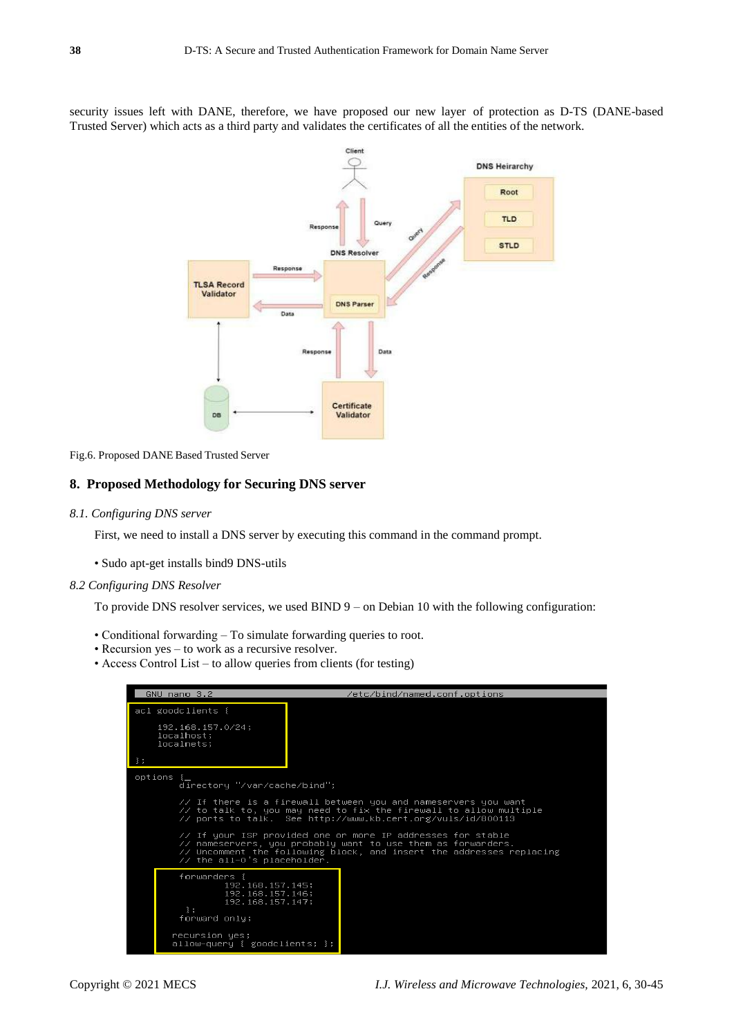security issues left with DANE, therefore, we have proposed our new layer of protection as D-TS (DANE-based Trusted Server) which acts as a third party and validates the certificates of all the entities of the network.



Fig.6. Proposed DANE Based Trusted Server

# **8. Proposed Methodology for Securing DNS server**

#### *8.1. Configuring DNS server*

First, we need to install a DNS server by executing this command in the command prompt.

• Sudo apt-get installs bind9 DNS-utils

#### *8.2 Configuring DNS Resolver*

To provide DNS resolver services, we used BIND 9 – on Debian 10 with the following configuration:

- Conditional forwarding To simulate forwarding queries to root.
- Recursion yes to work as a recursive resolver.
- Access Control List to allow queries from clients (for testing)

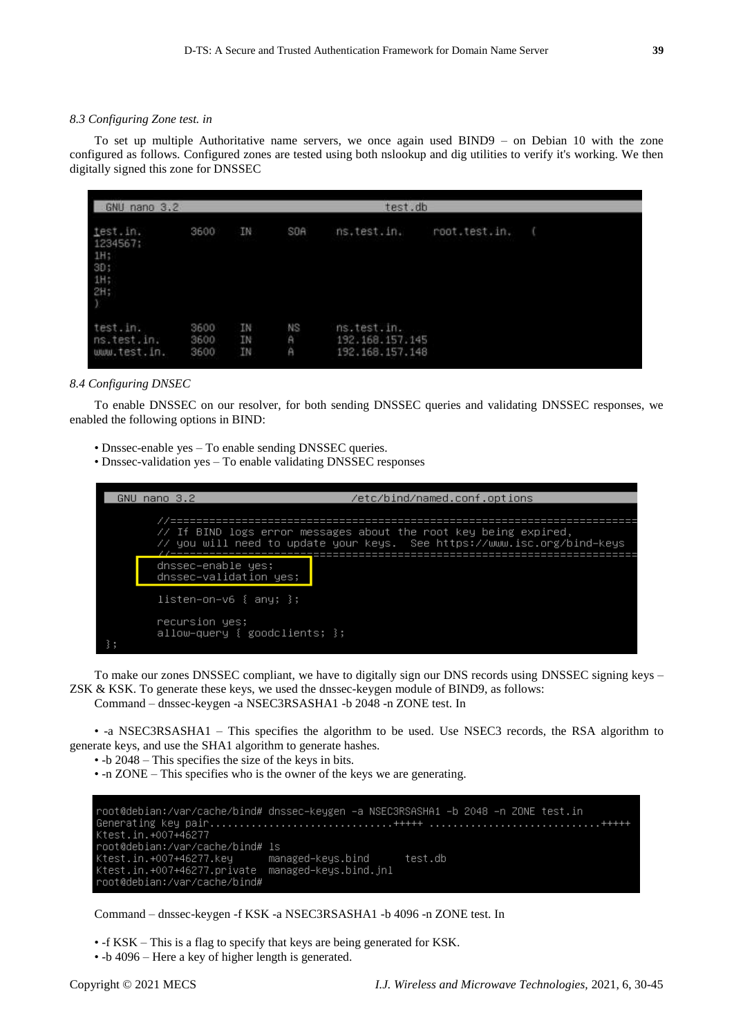## *8.3 Configuring Zone test. in*

To set up multiple Authoritative name servers, we once again used BIND9 – on Debian 10 with the zone configured as follows. Configured zones are tested using both nslookup and dig utilities to verify it's working. We then digitally signed this zone for DNSSEC

| GNU nano 3.2                                     |                      |                |                                |                                                   |               |  |
|--------------------------------------------------|----------------------|----------------|--------------------------------|---------------------------------------------------|---------------|--|
| test.in.<br>1234567;<br>1H;<br>3D;<br>1H;<br>2H; | 3600                 | IN             | SOA                            | ns.test.in.                                       | root.test.in. |  |
| test.in.<br>ns.test.in.<br>www.test.in.          | 3600<br>3600<br>3600 | IN<br>IN<br>ΪN | <b>NS</b><br>$\mathsf{A}$<br>А | ns.test.in.<br>192.168.157.145<br>192.168.157.148 |               |  |

#### *8.4 Configuring DNSEC*

To enable DNSSEC on our resolver, for both sending DNSSEC queries and validating DNSSEC responses, we enabled the following options in BIND:

- Dnssec-enable yes To enable sending DNSSEC queries.
- Dnssec-validation yes To enable validating DNSSEC responses



To make our zones DNSSEC compliant, we have to digitally sign our DNS records using DNSSEC signing keys – ZSK & KSK. To generate these keys, we used the dnssec-keygen module of BIND9, as follows:

Command – dnssec-keygen -a NSEC3RSASHA1 -b 2048 -n ZONE test. In

• -a NSEC3RSASHA1 – This specifies the algorithm to be used. Use NSEC3 records, the RSA algorithm to generate keys, and use the SHA1 algorithm to generate hashes.

• -b 2048 – This specifies the size of the keys in bits.

• -n ZONE – This specifies who is the owner of the keys we are generating.

```
root@debian:/var/cache/bind# dnssec–keygen –a NSEC3RSASHA1 –b 2048 –n ZONE test.in
Ktest.in.+007+46277
root@debian:/var/cache/bind# ls
Ktest.in.+007+46277.key
                      managed–keys.bind
                                         test.db
Ktest.in.+007+46277.private
                      managed–keys.bind.jnl
root@debian:/var/cache/bind#
```
Command – dnssec-keygen -f KSK -a NSEC3RSASHA1 -b 4096 -n ZONE test. In

• -f KSK – This is a flag to specify that keys are being generated for KSK.

• -b 4096 – Here a key of higher length is generated.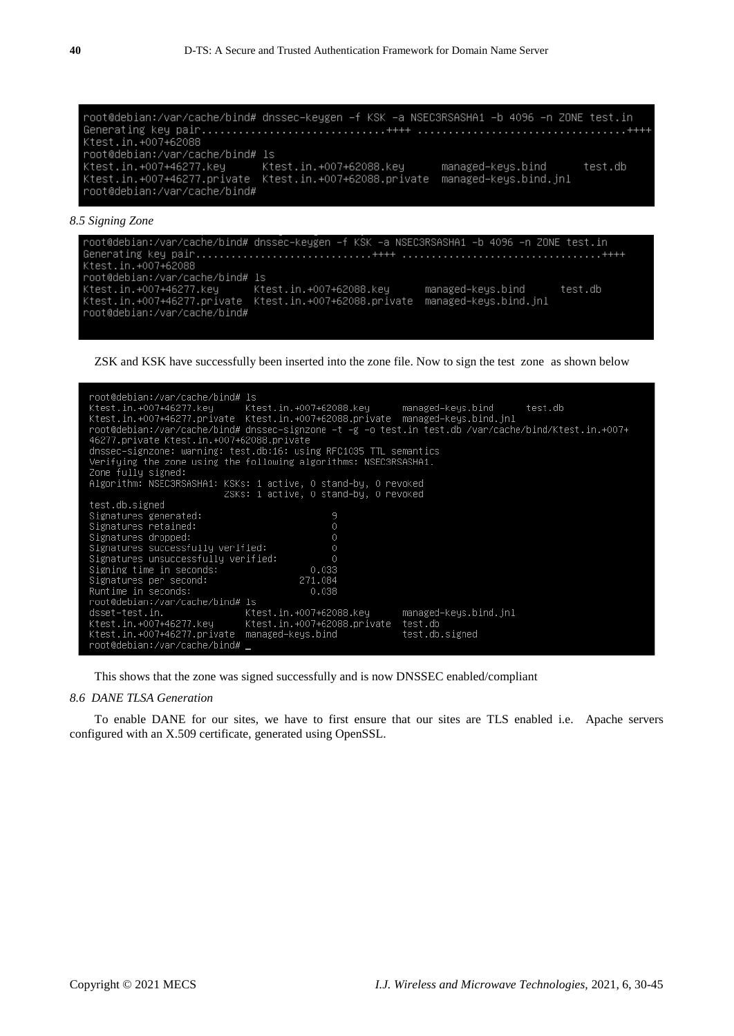root@debian:/var/cache/bind# dnssec-keygen -f KSK -a NSEC3RSASHA1 -b 4096 -n ZONE test.in Ktest.in. +007+62088 root@debian:/var/cache/bind# ls test.db root@debian:/var/cache/bind#

```
8.5 Signing Zone
```

```
root@debian:/var/cache/bind# dnssec–keygen –f KSK –a NSEC3RSASHA1 –b 4096 –n ZONE test.in
Generating key pair..............................++++
                                                          Ktest.in. +007+62088
root@debian:/var/cache/bind# ls
Ktest.in.+007+46277.key Ktest.in.+007+62088.key managed-keys.bind<br>Ktest.in.+007+46277.private Ktest.in.+007+62088.private managed-keys.bind.jnl
                                                                                        test.db
root@debian:/var/cache/bind#
```
ZSK and KSK have successfully been inserted into the zone file. Now to sign the test zone as shown below

| root@debian:/var/cache/bind# ls<br>46277.private Ktest.in.+007+62088.private<br>Zone fully signed: | Ktest.in.+007+46277.key   Ktest.in.+007+62088.key   managed–keys.bind   test.db<br>Ktest.in.+007+46277.private Ktest.in.+007+62088.private managed–keys.bind.jnl<br>+00+1.root@debian:/var/cache/bind# dnssec–signzone -t -g -o test.in test.db /var/cache/bind/Ktest.in<br>dnssec–signzone: warning: test.db:16: using RFC1035 TTL semantics<br>Verifying the zone using the following algorithms: NSEC3RSASHA1.<br>Algorithm: NSEC3RSASHA1: KSKs: 1 active, 0 stand–by, 0 revoked |                       |  |  |  |  |
|----------------------------------------------------------------------------------------------------|-------------------------------------------------------------------------------------------------------------------------------------------------------------------------------------------------------------------------------------------------------------------------------------------------------------------------------------------------------------------------------------------------------------------------------------------------------------------------------------|-----------------------|--|--|--|--|
|                                                                                                    | ZSKs: 1 active, 0 stand-by, 0 revoked                                                                                                                                                                                                                                                                                                                                                                                                                                               |                       |  |  |  |  |
| test.db.signed                                                                                     |                                                                                                                                                                                                                                                                                                                                                                                                                                                                                     |                       |  |  |  |  |
| Signatures generated:                                                                              | 9                                                                                                                                                                                                                                                                                                                                                                                                                                                                                   |                       |  |  |  |  |
| Signatures retained:                                                                               | $\circ$                                                                                                                                                                                                                                                                                                                                                                                                                                                                             |                       |  |  |  |  |
| Signatures dropped:                                                                                | $\circ$                                                                                                                                                                                                                                                                                                                                                                                                                                                                             |                       |  |  |  |  |
| Signatures successfully verified:                                                                  | 0                                                                                                                                                                                                                                                                                                                                                                                                                                                                                   |                       |  |  |  |  |
| Signatures unsuccessfully verified:                                                                | $\theta$                                                                                                                                                                                                                                                                                                                                                                                                                                                                            |                       |  |  |  |  |
| Signing time in seconds:                                                                           | 0.033                                                                                                                                                                                                                                                                                                                                                                                                                                                                               |                       |  |  |  |  |
| Signatures per second:<br>271.084                                                                  |                                                                                                                                                                                                                                                                                                                                                                                                                                                                                     |                       |  |  |  |  |
| Runtime in seconds:<br>0.038                                                                       |                                                                                                                                                                                                                                                                                                                                                                                                                                                                                     |                       |  |  |  |  |
| root@debian:/var/cache/bind# ls                                                                    |                                                                                                                                                                                                                                                                                                                                                                                                                                                                                     |                       |  |  |  |  |
|                                                                                                    |                                                                                                                                                                                                                                                                                                                                                                                                                                                                                     | managed–keys.bind.jnl |  |  |  |  |
| Ktest.in.+007+62088.private test.db<br>Ktest.in.+007+46277.key                                     |                                                                                                                                                                                                                                                                                                                                                                                                                                                                                     |                       |  |  |  |  |
|                                                                                                    | Ktest.in.+007+46277.private managed–keys.bind                                                                                                                                                                                                                                                                                                                                                                                                                                       | test.db.signed        |  |  |  |  |
| root@debian:/var/cache/bind#                                                                       |                                                                                                                                                                                                                                                                                                                                                                                                                                                                                     |                       |  |  |  |  |
|                                                                                                    |                                                                                                                                                                                                                                                                                                                                                                                                                                                                                     |                       |  |  |  |  |

This shows that the zone was signed successfully and is now DNSSEC enabled/compliant

# *8.6 DANE TLSA Generation*

To enable DANE for our sites, we have to first ensure that our sites are TLS enabled i.e. Apache servers configured with an X.509 certificate, generated using OpenSSL.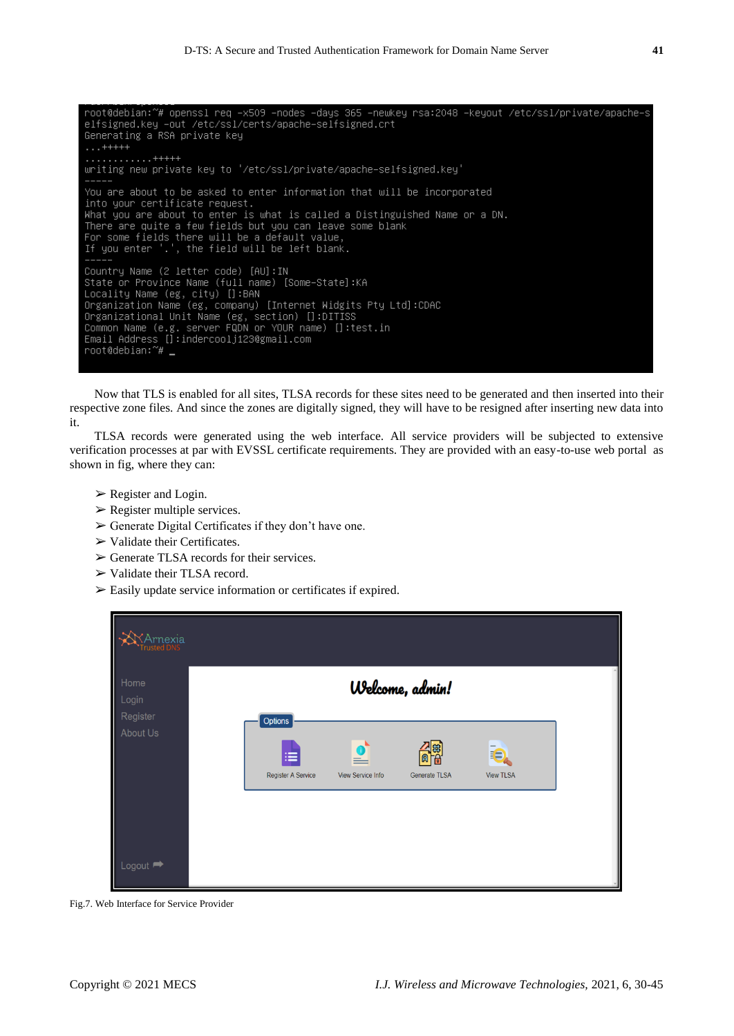root@debian:~# openssl req –x509 –nodes –days 365 –newkey rsa:2048 –keyout /etc/ssl/private/apache–s elfsigned.key -out /etc/ssl/certs/apache-selfsigned.crt Generating a RSA private key  $\dots$  +++++ uriting new private key to '/etc/ssl/private/apache-selfsigned.key' You are about to be asked to enter information that will be incorporated into your certificate request. What you are about to enter is what is called a Distinguished Name or a DN.<br>There are quite a few fields but you can leave some blank For some fields there will be a default value,<br>The some fields there will be a default value,<br>If you enter '.', the field will be left blank. Country Name (2 letter code) [AU]:IN<br>State or Province Name (full name) [Some–State]:KA Locality Name (eg, city) []:BAN Docarrig Name (eg, crty) 17.8mW<br>Organization Name (eg, company) [Internet Widgits Pty Ltd]:CDAC<br>Organizational Unit Name (eg, section) []:DITISS<br>Common Name (e.g. server FQDN or YOUR name) []:test.in<br>Email Address []:inder root@debian:~# \_

Now that TLS is enabled for all sites, TLSA records for these sites need to be generated and then inserted into their respective zone files. And since the zones are digitally signed, they will have to be resigned after inserting new data into it.

TLSA records were generated using the web interface. All service providers will be subjected to extensive verification processes at par with EVSSL certificate requirements. They are provided with an easy-to-use web portal as shown in fig, where they can:

- $\triangleright$  Register and Login.
- $\triangleright$  Register multiple services.
- $\triangleright$  Generate Digital Certificates if they don't have one.
- $\triangleright$  Validate their Certificates.
- $\triangleright$  Generate TLSA records for their services.
- ➢ Validate their TLSA record.
- ➢ Easily update service information or certificates if expired.

| *Arnexia<br><sup>r</sup> rusted DNS |                                                                                                                                                         |  |
|-------------------------------------|---------------------------------------------------------------------------------------------------------------------------------------------------------|--|
| Home<br>Login<br>Register           | Welcome, admin!                                                                                                                                         |  |
| About Us                            | Options<br>ie<br>⊫<br>曲<br>$=$<br>$\overline{\mathbf{g}}$<br><b>View TLSA</b><br><b>Register A Service</b><br>View Service Info<br><b>Generate TLSA</b> |  |
| Logout $\rightarrow$                |                                                                                                                                                         |  |

Fig.7. Web Interface for Service Provider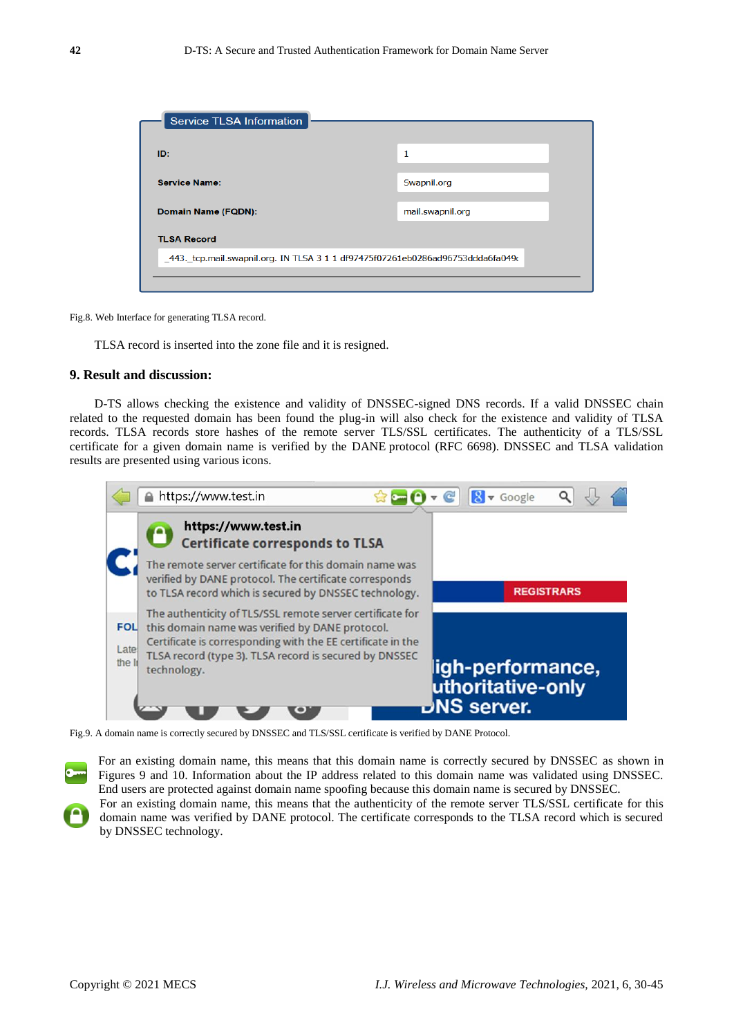| <b>Service TLSA Information</b>                                                 |                  |  |  |  |  |
|---------------------------------------------------------------------------------|------------------|--|--|--|--|
|                                                                                 |                  |  |  |  |  |
| ID:                                                                             | 1                |  |  |  |  |
| <b>Service Name:</b>                                                            | Swapnil.org      |  |  |  |  |
| Domain Name (FQDN):                                                             | mail.swapnil.org |  |  |  |  |
| <b>TLSA Record</b>                                                              |                  |  |  |  |  |
| _443. tcp.mail.swapnil.org. IN TLSA 3 1 1 df97475f07261eb0286ad96753ddda6fa049c |                  |  |  |  |  |
|                                                                                 |                  |  |  |  |  |
|                                                                                 |                  |  |  |  |  |

Fig.8. Web Interface for generating TLSA record.

TLSA record is inserted into the zone file and it is resigned.

## **9. Result and discussion:**

D-TS allows checking the existence and validity of DNSSEC-signed DNS records. If a valid DNSSEC chain related to the requested domain has been found the plug-in will also check for the existence and validity of TLSA records. TLSA records store hashes of the remote server TLS/SSL certificates. The authenticity of a TLS/SSL certificate for a given domain name is verified by the [DANE](http://tools.ietf.org/html/rfc6698) protocol (RFC 6698). DNSSEC and TLSA validation results are presented using various icons.

|                              | https://www.test.in                                                                                                                                                                                                                                  | $8 \times$ Google                                            |
|------------------------------|------------------------------------------------------------------------------------------------------------------------------------------------------------------------------------------------------------------------------------------------------|--------------------------------------------------------------|
|                              | https://www.test.in<br><b>Certificate corresponds to TLSA</b>                                                                                                                                                                                        |                                                              |
|                              | The remote server certificate for this domain name was<br>verified by DANE protocol. The certificate corresponds<br>to TLSA record which is secured by DNSSEC technology.                                                                            | <b>REGISTRARS</b>                                            |
| <b>FOL</b><br>Late<br>the In | The authenticity of TLS/SSL remote server certificate for<br>this domain name was verified by DANE protocol.<br>Certificate is corresponding with the EE certificate in the<br>TLSA record (type 3). TLSA record is secured by DNSSEC<br>technology. | ligh-performance,<br>uthoritative-only<br><b>DNS</b> server. |

Fig.9. A domain name is correctly secured by DNSSEC and TLS/SSL certificate is verified by DANE Protocol.

For an existing domain name, this means that this domain name is correctly secured by DNSSEC as shown in Figures 9 and 10. Information about the IP address related to this domain name was validated using DNSSEC. End users are protected against domain name spoofing because this domain name is secured by DNSSEC.

For an existing domain name, this means that the authenticity of the remote server TLS/SSL certificate for this domain name was verified by DANE protocol. The certificate corresponds to the TLSA record which is secured by DNSSEC technology.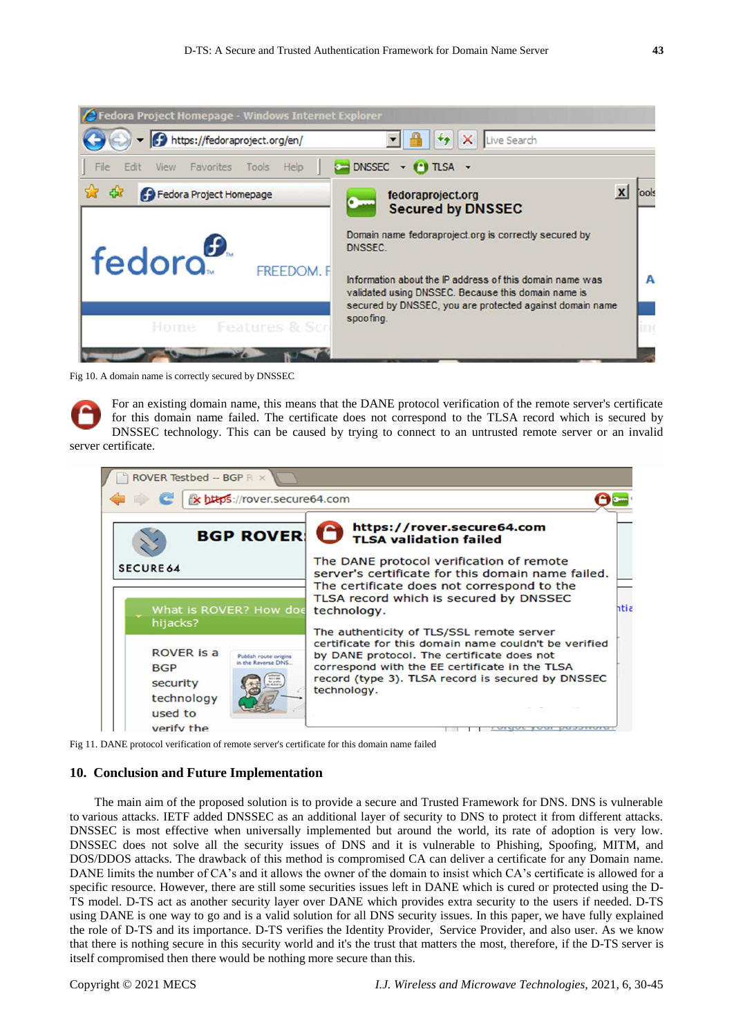

Fig 10. A domain name is correctly secured by DNSSEC

For an existing domain name, this means that the DANE protocol verification of the remote server's certificate for this domain name failed. The certificate does not correspond to the TLSA record which is secured by DNSSEC technology. This can be caused by trying to connect to an untrusted remote server or an invalid server certificate.



Fig 11. DANE protocol verification of remote server's certificate for this domain name failed

# **10. Conclusion and Future Implementation**

The main aim of the proposed solution is to provide a secure and Trusted Framework for DNS. DNS is vulnerable to various attacks. IETF added DNSSEC as an additional layer of security to DNS to protect it from different attacks. DNSSEC is most effective when universally implemented but around the world, its rate of adoption is very low. DNSSEC does not solve all the security issues of DNS and it is vulnerable to Phishing, Spoofing, MITM, and DOS/DDOS attacks. The drawback of this method is compromised CA can deliver a certificate for any Domain name. DANE limits the number of CA's and it allows the owner of the domain to insist which CA's certificate is allowed for a specific resource. However, there are still some securities issues left in DANE which is cured or protected using the D-TS model. D-TS act as another security layer over DANE which provides extra security to the users if needed. D-TS using DANE is one way to go and is a valid solution for all DNS security issues. In this paper, we have fully explained the role of D-TS and its importance. D-TS verifies the Identity Provider, Service Provider, and also user. As we know that there is nothing secure in this security world and it's the trust that matters the most, therefore, if the D-TS server is itself compromised then there would be nothing more secure than this.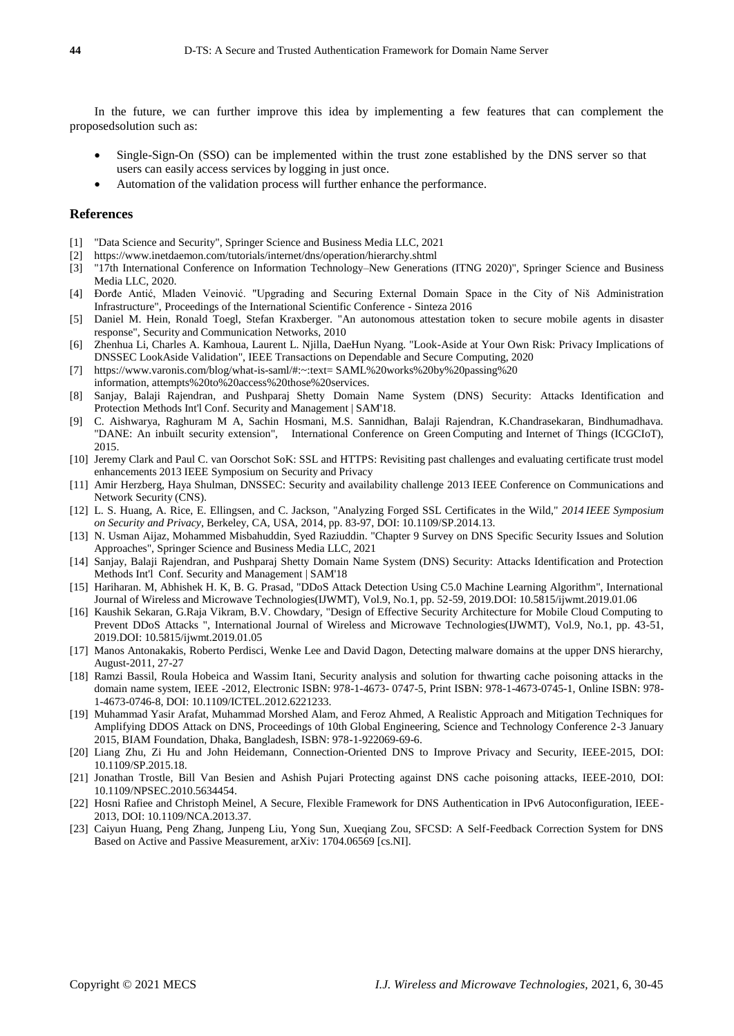In the future, we can further improve this idea by implementing a few features that can complement the proposedsolution such as:

- Single-Sign-On (SSO) can be implemented within the trust zone established by the DNS server so that users can easily access services by logging in just once.
- Automation of the validation process will further enhance the performance.

## **References**

- [1] "Data Science and Security", Springer Science and Business Media LLC, 2021
- [2] https:[//www.inetdaemon.com/tutorials/internet/dns/operation/hierarchy.shtml](http://www.inetdaemon.com/tutorials/internet/dns/operation/hierarchy.shtml)
- [3] "17th International Conference on Information Technology–New Generations (ITNG 2020)", Springer Science and Business Media LLC, 2020.
- [4] Đorđe Antić, Mladen Veinović. "Upgrading and Securing External Domain Space in the City of Niš Administration Infrastructure", Proceedings of the International Scientific Conference - Sinteza 2016
- [5] Daniel M. Hein, Ronald Toegl, Stefan Kraxberger. "An autonomous attestation token to secure mobile agents in disaster response", Security and Communication Networks, 2010
- [6] Zhenhua Li, Charles A. Kamhoua, Laurent L. Njilla, DaeHun Nyang. "Look-Aside at Your Own Risk: Privacy Implications of DNSSEC LookAside Validation", IEEE Transactions on Dependable and Secure Computing, 2020
- [7] [https://www.varonis.com/blog/what-is-saml/#:~:text=](https://www.varonis.com/blog/what-is-saml/#%3A~%3Atext%3D%20SAML%20works%20by%20passing%20) SAML%20works%20by%20passing%20 information, attempts%20to%20access%20those%20services.
- [8] Sanjay, Balaji Rajendran, and Pushparaj Shetty Domain Name System (DNS) Security: Attacks Identification and Protection Methods Int'l Conf. Security and Management | SAM'18.
- [9] C. Aishwarya, Raghuram M A, Sachin Hosmani, M.S. Sannidhan, Balaji Rajendran, K.Chandrasekaran, Bindhumadhava. "DANE: An inbuilt security extension", International Conference on Green Computing and Internet of Things (ICGCIoT), 2015.
- [10] Jeremy Clark and Paul C. van Oorschot SoK: SSL and HTTPS: Revisiting past challenges and evaluating certificate trust model enhancements 2013 IEEE Symposium on Security and Privacy
- [11] [Amir Herzberg,](https://ieeexplore.ieee.org/author/37282738100) [Haya Shulman, D](https://ieeexplore.ieee.org/author/38490189000)NSSEC: Security and availability challenge [2013 IEEE Conference on](https://ieeexplore.ieee.org/xpl/conhome/6675898/proceeding) [Communications and](https://ieeexplore.ieee.org/xpl/conhome/6675898/proceeding) [Network](https://ieeexplore.ieee.org/xpl/conhome/6675898/proceeding) Security (CNS).
- [12] L. S. Huang, A. Rice, E. Ellingsen, and C. Jackson, "Analyzing Forged SSL Certificates in the Wild," *2014 IEEE Symposium on Security and Privacy*, Berkeley, CA, USA, 2014, pp. 83-97, DOI: 10.1109/SP.2014.13.
- [13] N. Usman Aijaz, Mohammed Misbahuddin, Syed Raziuddin. "Chapter 9 Survey on DNS Specific Security Issues and Solution Approaches", Springer Science and Business Media LLC, 2021
- [14] Sanjay, Balaji Rajendran, and Pushparaj Shetty Domain Name System (DNS) Security: Attacks Identification and Protection Methods Int'l Conf. Security and Management | SAM'18
- [15] Hariharan. M, Abhishek H. K, B. G. Prasad, "DDoS Attack Detection Using C5.0 Machine Learning Algorithm", International Journal of Wireless and Microwave Technologies(IJWMT), Vol.9, No.1, pp. 52-59, 2019.DOI: 10.5815/ijwmt.2019.01.06
- [16] Kaushik Sekaran, G.Raja Vikram, B.V. Chowdary, "Design of Effective Security Architecture for Mobile Cloud Computing to Prevent DDoS Attacks ", International Journal of Wireless and Microwave Technologies(IJWMT), Vol.9, No.1, pp. 43-51, 2019.DOI: 10.5815/ijwmt.2019.01.05
- [17] Manos Antonakakis, Roberto Perdisci, Wenke Lee and David Dagon, Detecting malware domains at the upper DNS hierarchy, August-2011, 27-27
- [18] Ramzi Bassil, Roula Hobeica and Wassim Itani, Security analysis and solution for thwarting cache poisoning attacks in the domain name system, IEEE -2012, Electronic ISBN: 978-1-4673- 0747-5, Print ISBN: 978-1-4673-0745-1, Online ISBN: 978- 1-4673-0746-8, DOI: 10.1109/ICTEL.2012.6221233.
- [19] Muhammad Yasir Arafat, Muhammad Morshed Alam, and Feroz Ahmed, A Realistic Approach and Mitigation Techniques for Amplifying DDOS Attack on DNS, Proceedings of 10th Global Engineering, Science and Technology Conference 2-3 January 2015, BIAM Foundation, Dhaka, Bangladesh, ISBN: 978-1-922069-69-6.
- [20] Liang Zhu, Zi Hu and John Heidemann, Connection-Oriented DNS to Improve Privacy and Security, IEEE-2015, DOI: 10.1109/SP.2015.18.
- [21] Jonathan Trostle, Bill Van Besien and Ashish Pujari Protecting against DNS cache poisoning attacks, IEEE-2010, DOI: 10.1109/NPSEC.2010.5634454.
- [22] Hosni Rafiee and Christoph Meinel, A Secure, Flexible Framework for DNS Authentication in IPv6 Autoconfiguration, IEEE-2013, DOI: 10.1109/NCA.2013.37.
- [23] Caiyun Huang, Peng Zhang, Junpeng Liu, Yong Sun, Xueqiang Zou, SFCSD: A Self-Feedback Correction System for DNS Based on Active and Passive Measurement, arXiv: 1704.06569 [cs.NI].